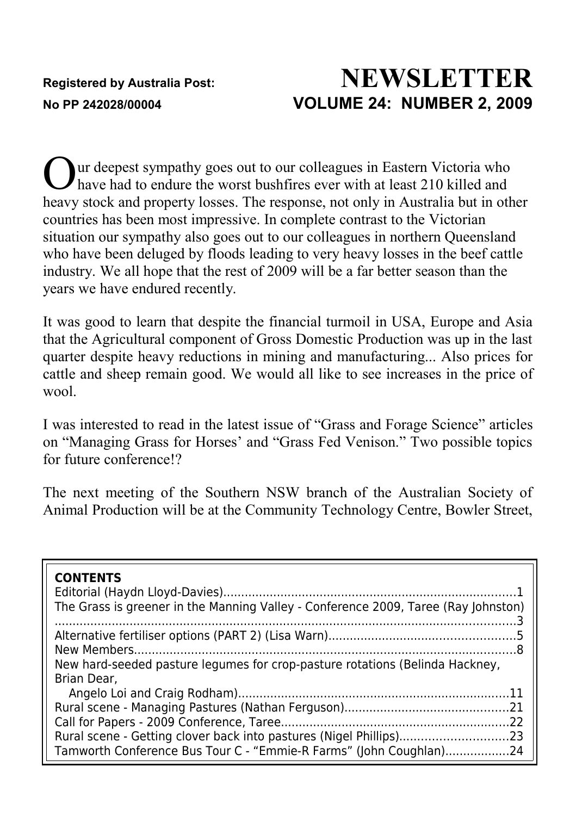# **Registered by Australia Post: NEWSLETTER No PP 242028/00004 VOLUME 24: NUMBER 2, 2009**

ur deepest sympathy goes out to our colleagues in Eastern Victoria who have had to endure the worst bushfires ever with at least 210 killed and heavy stock and property losses. The response, not only in Australia but in other countries has been most impressive. In complete contrast to the Victorian situation our sympathy also goes out to our colleagues in northern Queensland who have been deluged by floods leading to very heavy losses in the beef cattle industry. We all hope that the rest of 2009 will be a far better season than the years we have endured recently. O

It was good to learn that despite the financial turmoil in USA, Europe and Asia that the Agricultural component of Gross Domestic Production was up in the last quarter despite heavy reductions in mining and manufacturing... Also prices for cattle and sheep remain good. We would all like to see increases in the price of wool.

I was interested to read in the latest issue of "Grass and Forage Science" articles on "Managing Grass for Horses' and "Grass Fed Venison." Two possible topics for future conference!?

The next meeting of the Southern NSW branch of the Australian Society of Animal Production will be at the Community Technology Centre, Bowler Street,

| <b>CONTENTS</b><br>The Grass is greener in the Manning Valley - Conference 2009, Taree (Ray Johnston)                                                   |
|---------------------------------------------------------------------------------------------------------------------------------------------------------|
| New hard-seeded pasture legumes for crop-pasture rotations (Belinda Hackney,                                                                            |
| Brian Dear.<br>Rural scene - Getting clover back into pastures (Nigel Phillips)23<br>Tamworth Conference Bus Tour C - "Emmie-R Farms" (John Coughlan)24 |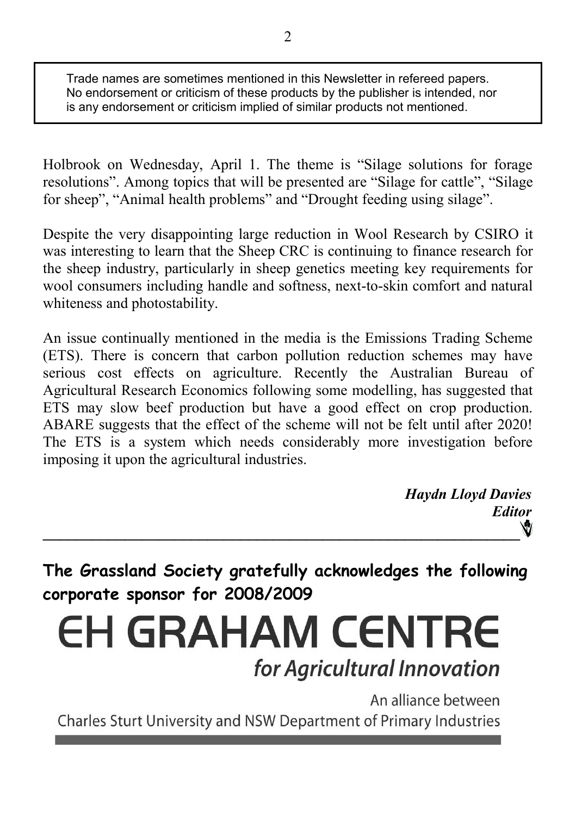Trade names are sometimes mentioned in this Newsletter in refereed papers. No endorsement or criticism of these products by the publisher is intended, nor is any endorsement or criticism implied of similar products not mentioned.

Holbrook on Wednesday, April 1. The theme is "Silage solutions for forage resolutions". Among topics that will be presented are "Silage for cattle", "Silage for sheep", "Animal health problems" and "Drought feeding using silage".

Despite the very disappointing large reduction in Wool Research by CSIRO it was interesting to learn that the Sheep CRC is continuing to finance research for the sheep industry, particularly in sheep genetics meeting key requirements for wool consumers including handle and softness, next-to-skin comfort and natural whiteness and photostability.

An issue continually mentioned in the media is the Emissions Trading Scheme (ETS). There is concern that carbon pollution reduction schemes may have serious cost effects on agriculture. Recently the Australian Bureau of Agricultural Research Economics following some modelling, has suggested that ETS may slow beef production but have a good effect on crop production. ABARE suggests that the effect of the scheme will not be felt until after 2020! The ETS is a system which needs considerably more investigation before imposing it upon the agricultural industries.

*Haydn Lloyd Davies Editor* Ŵ **\_\_\_\_\_\_\_\_\_\_\_\_\_\_\_\_\_\_\_\_\_\_\_\_\_\_\_\_\_\_\_\_\_\_\_\_\_\_\_\_\_\_\_\_\_\_\_\_\_\_\_\_\_\_\_\_\_\_**

**The Grassland Society gratefully acknowledges the following corporate sponsor for 2008/2009**

**EH GRAHAM CENTRE** for Agricultural Innovation

An alliance between Charles Sturt University and NSW Department of Primary Industries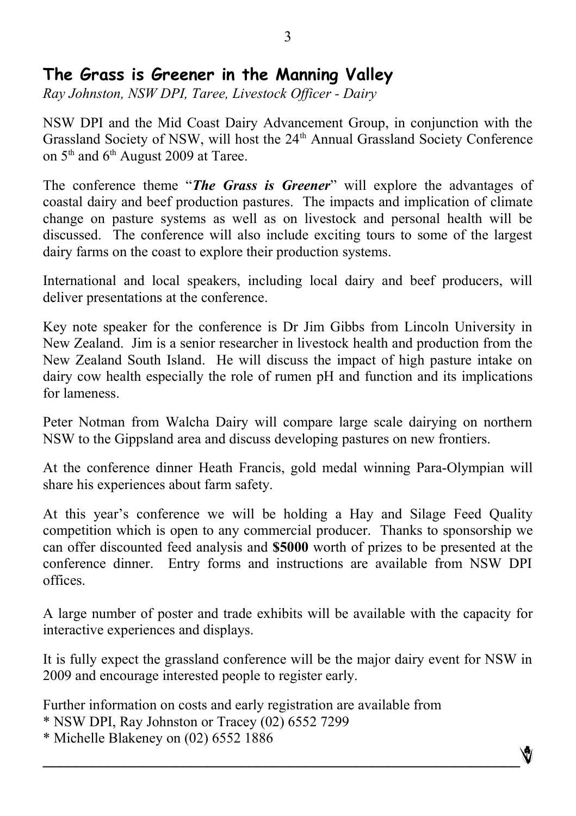## **The Grass is Greener in the Manning Valley**

*Ray Johnston, NSW DPI, Taree, Livestock Officer - Dairy*

NSW DPI and the Mid Coast Dairy Advancement Group, in conjunction with the Grassland Society of NSW, will host the 24<sup>th</sup> Annual Grassland Society Conference on  $5<sup>th</sup>$  and  $6<sup>th</sup>$  August 2009 at Taree.

The conference theme "*The Grass is Greener*" will explore the advantages of coastal dairy and beef production pastures. The impacts and implication of climate change on pasture systems as well as on livestock and personal health will be discussed. The conference will also include exciting tours to some of the largest dairy farms on the coast to explore their production systems.

International and local speakers, including local dairy and beef producers, will deliver presentations at the conference.

Key note speaker for the conference is Dr Jim Gibbs from Lincoln University in New Zealand. Jim is a senior researcher in livestock health and production from the New Zealand South Island. He will discuss the impact of high pasture intake on dairy cow health especially the role of rumen pH and function and its implications for lameness.

Peter Notman from Walcha Dairy will compare large scale dairying on northern NSW to the Gippsland area and discuss developing pastures on new frontiers.

At the conference dinner Heath Francis, gold medal winning Para-Olympian will share his experiences about farm safety.

At this year's conference we will be holding a Hay and Silage Feed Quality competition which is open to any commercial producer. Thanks to sponsorship we can offer discounted feed analysis and **\$5000** worth of prizes to be presented at the conference dinner. Entry forms and instructions are available from NSW DPI offices.

A large number of poster and trade exhibits will be available with the capacity for interactive experiences and displays.

It is fully expect the grassland conference will be the major dairy event for NSW in 2009 and encourage interested people to register early.

 $\mathcal{L} = \{ \mathcal{L} \mathcal{L} \mathcal{L} \mathcal{L} \mathcal{L} \mathcal{L} \mathcal{L} \mathcal{L} \mathcal{L} \mathcal{L} \mathcal{L} \mathcal{L} \mathcal{L} \mathcal{L} \mathcal{L} \mathcal{L} \mathcal{L} \mathcal{L} \mathcal{L} \mathcal{L} \mathcal{L} \mathcal{L} \mathcal{L} \mathcal{L} \mathcal{L} \mathcal{L} \mathcal{L} \mathcal{L} \mathcal{L} \mathcal{L} \mathcal{L} \mathcal{L} \mathcal{L} \mathcal{L} \mathcal{L} \$ 

Ŵ

Further information on costs and early registration are available from

\* NSW DPI, Ray Johnston or Tracey (02) 6552 7299

\* Michelle Blakeney on (02) 6552 1886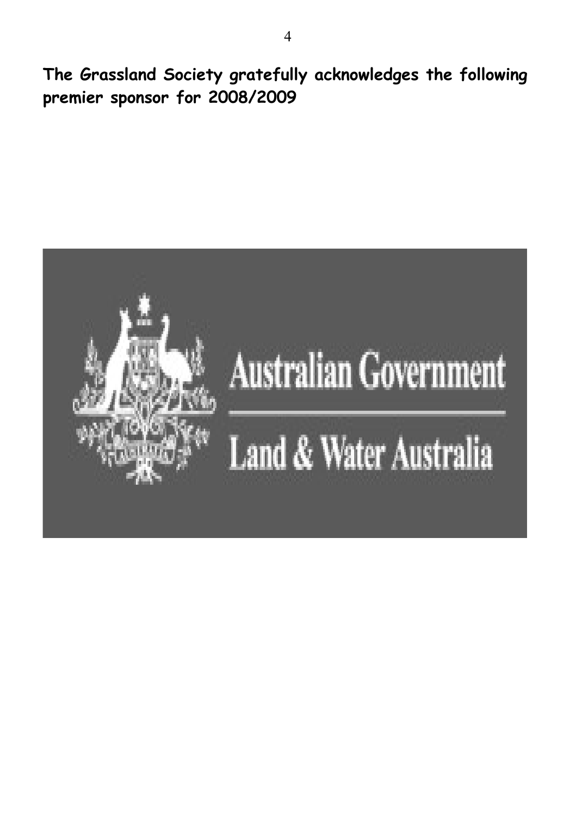**The Grassland Society gratefully acknowledges the following premier sponsor for 2008/2009**

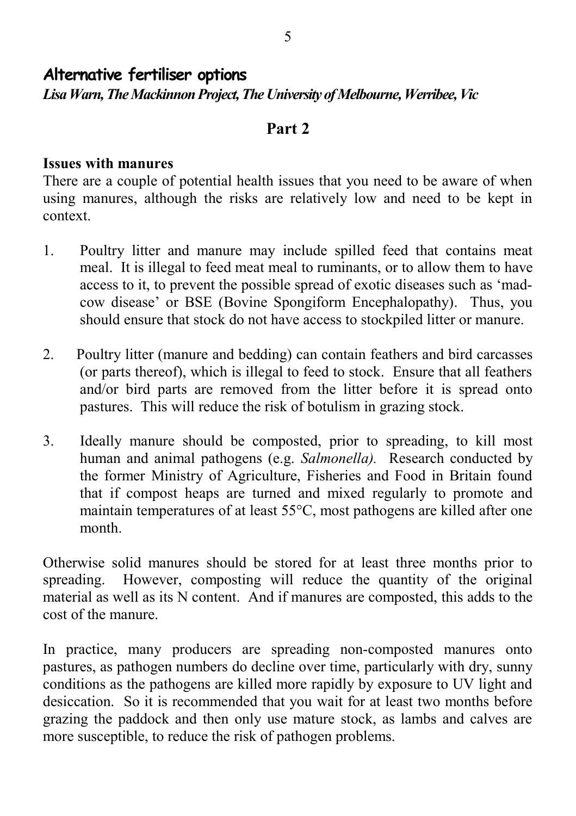#### **Alternative fertiliser options** *Lisa Warn, The Mackinnon Project, The University of Melbourne, Werribee, Vic*

#### **Part 2**

#### **Issues with manures**

There are a couple of potential health issues that you need to be aware of when using manures, although the risks are relatively low and need to be kept in context.

- 1. Poultry litter and manure may include spilled feed that contains meat meal. It is illegal to feed meat meal to ruminants, or to allow them to have access to it, to prevent the possible spread of exotic diseases such as 'madcow disease' or BSE (Bovine Spongiform Encephalopathy). Thus, you should ensure that stock do not have access to stockpiled litter or manure.
- 2. Poultry litter (manure and bedding) can contain feathers and bird carcasses (or parts thereof), which is illegal to feed to stock. Ensure that all feathers and/or bird parts are removed from the litter before it is spread onto pastures. This will reduce the risk of botulism in grazing stock.
- 3. Ideally manure should be composted, prior to spreading, to kill most human and animal pathogens (e.g. *Salmonella).* Research conducted by the former Ministry of Agriculture, Fisheries and Food in Britain found that if compost heaps are turned and mixed regularly to promote and maintain temperatures of at least 55°C, most pathogens are killed after one month.

Otherwise solid manures should be stored for at least three months prior to spreading. However, composting will reduce the quantity of the original material as well as its N content. And if manures are composted, this adds to the cost of the manure.

In practice, many producers are spreading non-composted manures onto pastures, as pathogen numbers do decline over time, particularly with dry, sunny conditions as the pathogens are killed more rapidly by exposure to UV light and desiccation. So it is recommended that you wait for at least two months before grazing the paddock and then only use mature stock, as lambs and calves are more susceptible, to reduce the risk of pathogen problems.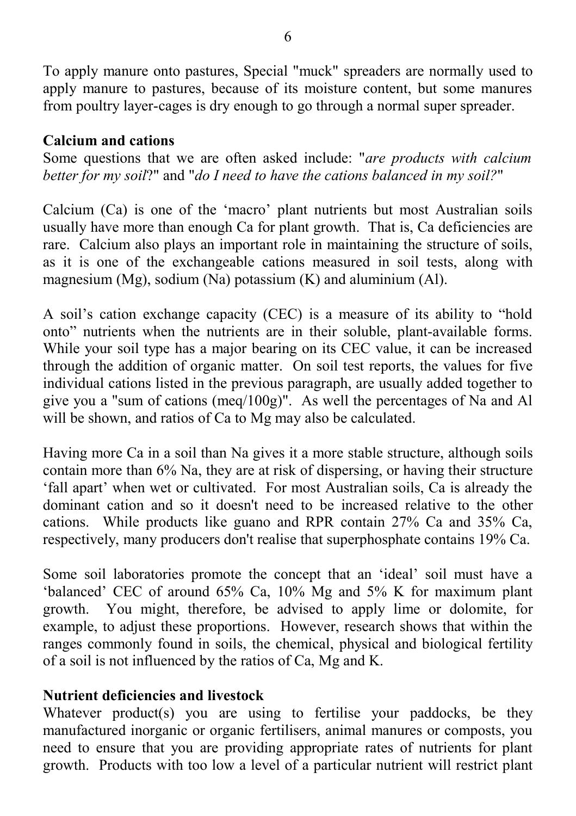To apply manure onto pastures, Special "muck" spreaders are normally used to apply manure to pastures, because of its moisture content, but some manures from poultry layer-cages is dry enough to go through a normal super spreader.

#### **Calcium and cations**

Some questions that we are often asked include: "*are products with calcium better for my soil*?" and "*do I need to have the cations balanced in my soil?*"

Calcium (Ca) is one of the 'macro' plant nutrients but most Australian soils usually have more than enough Ca for plant growth. That is, Ca deficiencies are rare. Calcium also plays an important role in maintaining the structure of soils, as it is one of the exchangeable cations measured in soil tests, along with magnesium (Mg), sodium (Na) potassium  $(K)$  and aluminium (Al).

A soil's cation exchange capacity (CEC) is a measure of its ability to "hold onto" nutrients when the nutrients are in their soluble, plant-available forms. While your soil type has a major bearing on its CEC value, it can be increased through the addition of organic matter. On soil test reports, the values for five individual cations listed in the previous paragraph, are usually added together to give you a "sum of cations (meq/100g)". As well the percentages of Na and Al will be shown, and ratios of Ca to Mg may also be calculated.

Having more Ca in a soil than Na gives it a more stable structure, although soils contain more than 6% Na, they are at risk of dispersing, or having their structure 'fall apart' when wet or cultivated. For most Australian soils, Ca is already the dominant cation and so it doesn't need to be increased relative to the other cations. While products like guano and RPR contain 27% Ca and 35% Ca, respectively, many producers don't realise that superphosphate contains 19% Ca.

Some soil laboratories promote the concept that an 'ideal' soil must have a 'balanced' CEC of around 65% Ca, 10% Mg and 5% K for maximum plant growth. You might, therefore, be advised to apply lime or dolomite, for example, to adjust these proportions. However, research shows that within the ranges commonly found in soils, the chemical, physical and biological fertility of a soil is not influenced by the ratios of Ca, Mg and K.

#### **Nutrient deficiencies and livestock**

Whatever product(s) you are using to fertilise your paddocks, be they manufactured inorganic or organic fertilisers, animal manures or composts, you need to ensure that you are providing appropriate rates of nutrients for plant growth. Products with too low a level of a particular nutrient will restrict plant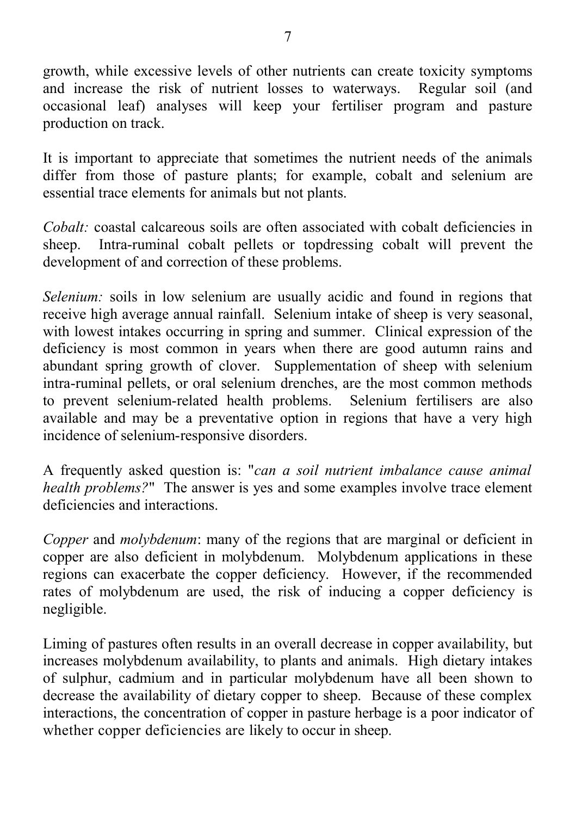growth, while excessive levels of other nutrients can create toxicity symptoms and increase the risk of nutrient losses to waterways. Regular soil (and occasional leaf) analyses will keep your fertiliser program and pasture production on track.

It is important to appreciate that sometimes the nutrient needs of the animals differ from those of pasture plants; for example, cobalt and selenium are essential trace elements for animals but not plants.

*Cobalt:* coastal calcareous soils are often associated with cobalt deficiencies in sheep. Intra-ruminal cobalt pellets or topdressing cobalt will prevent the development of and correction of these problems.

*Selenium:* soils in low selenium are usually acidic and found in regions that receive high average annual rainfall. Selenium intake of sheep is very seasonal, with lowest intakes occurring in spring and summer. Clinical expression of the deficiency is most common in years when there are good autumn rains and abundant spring growth of clover. Supplementation of sheep with selenium intra-ruminal pellets, or oral selenium drenches, are the most common methods to prevent selenium-related health problems. Selenium fertilisers are also available and may be a preventative option in regions that have a very high incidence of selenium-responsive disorders.

A frequently asked question is: "*can a soil nutrient imbalance cause animal health problems?*" The answer is yes and some examples involve trace element deficiencies and interactions.

*Copper* and *molybdenum*: many of the regions that are marginal or deficient in copper are also deficient in molybdenum. Molybdenum applications in these regions can exacerbate the copper deficiency. However, if the recommended rates of molybdenum are used, the risk of inducing a copper deficiency is negligible.

Liming of pastures often results in an overall decrease in copper availability, but increases molybdenum availability, to plants and animals. High dietary intakes of sulphur, cadmium and in particular molybdenum have all been shown to decrease the availability of dietary copper to sheep. Because of these complex interactions, the concentration of copper in pasture herbage is a poor indicator of whether copper deficiencies are likely to occur in sheep.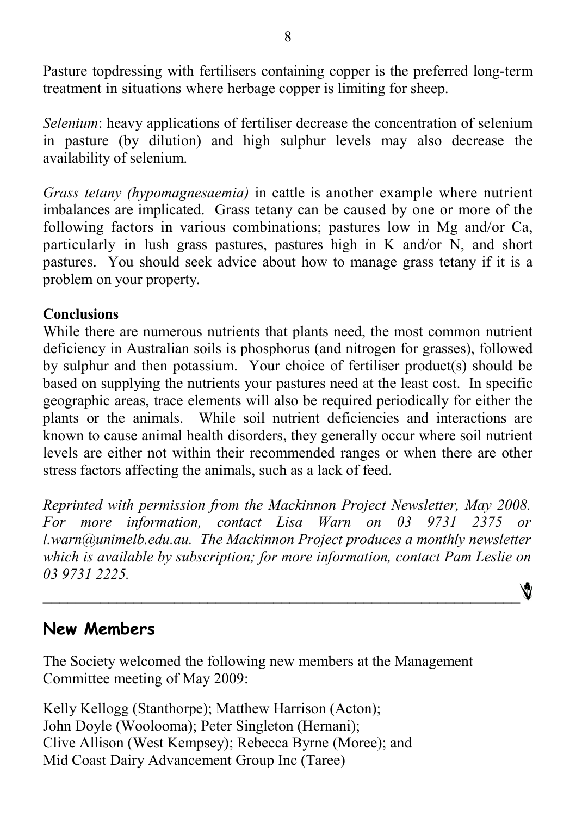Pasture topdressing with fertilisers containing copper is the preferred long-term treatment in situations where herbage copper is limiting for sheep.

*Selenium*: heavy applications of fertiliser decrease the concentration of selenium in pasture (by dilution) and high sulphur levels may also decrease the availability of selenium.

*Grass tetany (hypomagnesaemia)* in cattle is another example where nutrient imbalances are implicated. Grass tetany can be caused by one or more of the following factors in various combinations; pastures low in Mg and/or Ca, particularly in lush grass pastures, pastures high in K and/or N, and short pastures. You should seek advice about how to manage grass tetany if it is a problem on your property.

#### **Conclusions**

While there are numerous nutrients that plants need, the most common nutrient deficiency in Australian soils is phosphorus (and nitrogen for grasses), followed by sulphur and then potassium. Your choice of fertiliser product(s) should be based on supplying the nutrients your pastures need at the least cost. In specific geographic areas, trace elements will also be required periodically for either the plants or the animals. While soil nutrient deficiencies and interactions are known to cause animal health disorders, they generally occur where soil nutrient levels are either not within their recommended ranges or when there are other stress factors affecting the animals, such as a lack of feed.

*Reprinted with permission from the Mackinnon Project Newsletter, May 2008. For more information, contact Lisa Warn on 03 9731 2375 or [l.warn@unimelb.edu.au.](mailto:l.warn@unimelb.edu.au) The Mackinnon Project produces a monthly newsletter which is available by subscription; for more information, contact Pam Leslie on 03 9731 2225.* Ŵ

**\_\_\_\_\_\_\_\_\_\_\_\_\_\_\_\_\_\_\_\_\_\_\_\_\_\_\_\_\_\_\_\_\_\_\_\_\_\_\_\_\_\_\_\_\_\_\_\_\_\_\_\_\_\_\_\_\_\_**

## **New Members**

The Society welcomed the following new members at the Management Committee meeting of May 2009:

Kelly Kellogg (Stanthorpe); Matthew Harrison (Acton); John Doyle (Woolooma); Peter Singleton (Hernani); Clive Allison (West Kempsey); Rebecca Byrne (Moree); and Mid Coast Dairy Advancement Group Inc (Taree)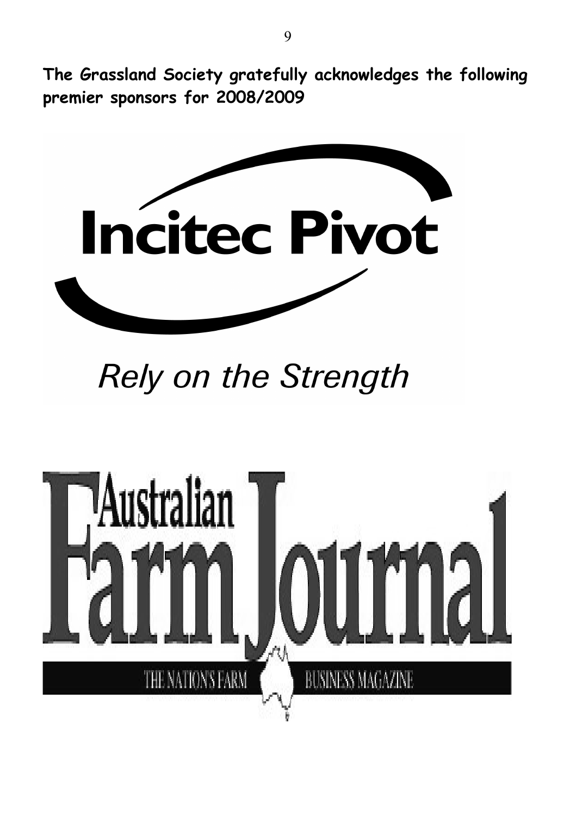**The Grassland Society gratefully acknowledges the following premier sponsors for 2008/2009**



# **Rely on the Strength**

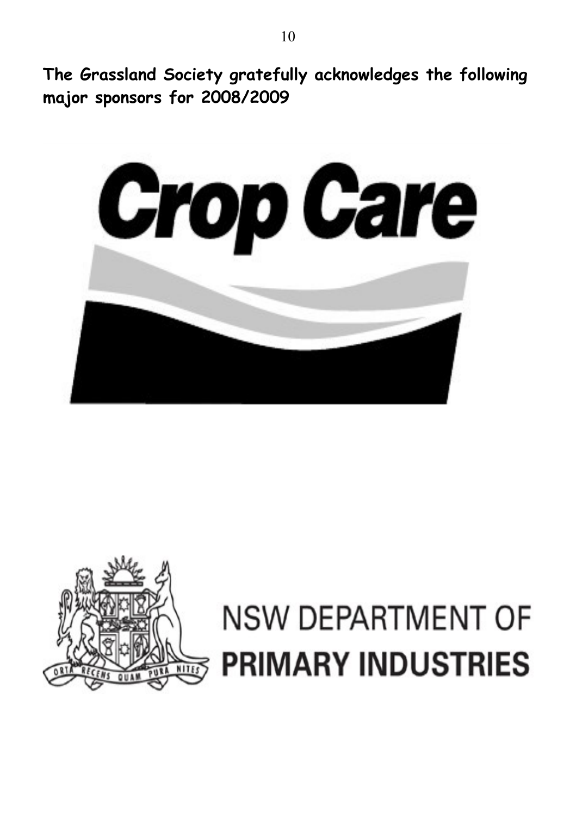**The Grassland Society gratefully acknowledges the following major sponsors for 2008/2009**





# **NSW DEPARTMENT OF PRIMARY INDUSTRIES**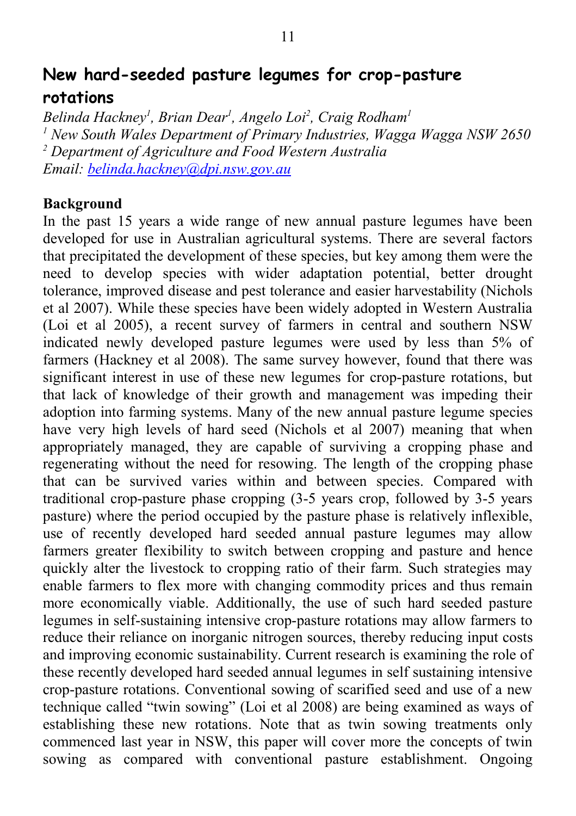# **New hard-seeded pasture legumes for crop-pasture rotations**

*Belinda Hackney<sup>1</sup> , Brian Dear<sup>1</sup> , Angelo Loi<sup>2</sup> , Craig Rodham<sup>1</sup> 1 New South Wales Department of Primary Industries, Wagga Wagga NSW 2650 2 Department of Agriculture and Food Western Australia Email: [belinda.hackney@dpi.nsw.gov.au](mailto:belinda.hackney@dpi.nsw.gov.au)*

#### **Background**

In the past 15 years a wide range of new annual pasture legumes have been developed for use in Australian agricultural systems. There are several factors that precipitated the development of these species, but key among them were the need to develop species with wider adaptation potential, better drought tolerance, improved disease and pest tolerance and easier harvestability (Nichols et al 2007). While these species have been widely adopted in Western Australia (Loi et al 2005), a recent survey of farmers in central and southern NSW indicated newly developed pasture legumes were used by less than 5% of farmers (Hackney et al 2008). The same survey however, found that there was significant interest in use of these new legumes for crop-pasture rotations, but that lack of knowledge of their growth and management was impeding their adoption into farming systems. Many of the new annual pasture legume species have very high levels of hard seed (Nichols et al 2007) meaning that when appropriately managed, they are capable of surviving a cropping phase and regenerating without the need for resowing. The length of the cropping phase that can be survived varies within and between species. Compared with traditional crop-pasture phase cropping (3-5 years crop, followed by 3-5 years pasture) where the period occupied by the pasture phase is relatively inflexible, use of recently developed hard seeded annual pasture legumes may allow farmers greater flexibility to switch between cropping and pasture and hence quickly alter the livestock to cropping ratio of their farm. Such strategies may enable farmers to flex more with changing commodity prices and thus remain more economically viable. Additionally, the use of such hard seeded pasture legumes in self-sustaining intensive crop-pasture rotations may allow farmers to reduce their reliance on inorganic nitrogen sources, thereby reducing input costs and improving economic sustainability. Current research is examining the role of these recently developed hard seeded annual legumes in self sustaining intensive crop-pasture rotations. Conventional sowing of scarified seed and use of a new technique called "twin sowing" (Loi et al 2008) are being examined as ways of establishing these new rotations. Note that as twin sowing treatments only commenced last year in NSW, this paper will cover more the concepts of twin sowing as compared with conventional pasture establishment. Ongoing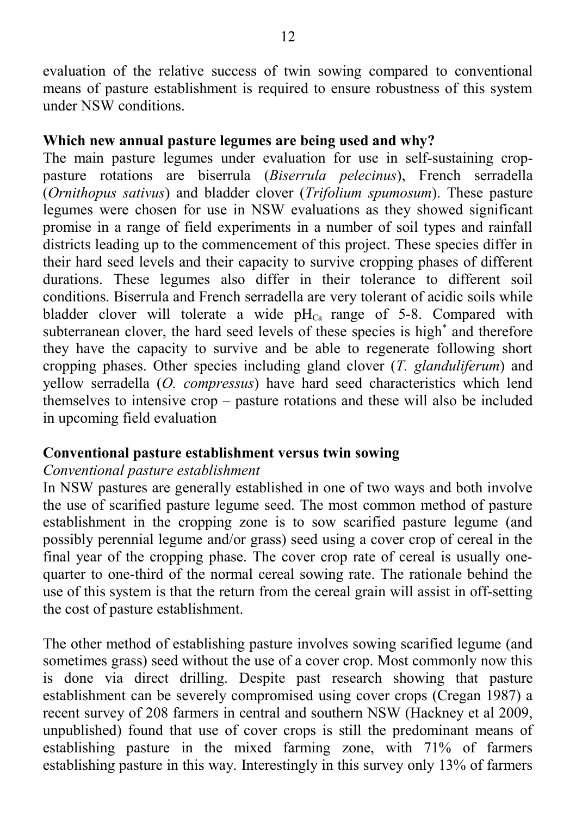evaluation of the relative success of twin sowing compared to conventional means of pasture establishment is required to ensure robustness of this system under NSW conditions.

#### **Which new annual pasture legumes are being used and why?**

The main pasture legumes under evaluation for use in self-sustaining croppasture rotations are biserrula (*Biserrula pelecinus*), French serradella (*Ornithopus sativus*) and bladder clover (*Trifolium spumosum*). These pasture legumes were chosen for use in NSW evaluations as they showed significant promise in a range of field experiments in a number of soil types and rainfall districts leading up to the commencement of this project. These species differ in their hard seed levels and their capacity to survive cropping phases of different durations. These legumes also differ in their tolerance to different soil conditions. Biserrula and French serradella are very tolerant of acidic soils while bladder clover will tolerate a wide  $pH_{Ca}$  range of 5-8. Compared with subterranean clover, the hard seed levels of these species is high<sup>\*</sup> and therefore they have the capacity to survive and be able to regenerate following short cropping phases. Other species including gland clover (*T. glanduliferum*) and yellow serradella (*O. compressus*) have hard seed characteristics which lend themselves to intensive crop – pasture rotations and these will also be included in upcoming field evaluation

#### **Conventional pasture establishment versus twin sowing**

#### *Conventional pasture establishment*

In NSW pastures are generally established in one of two ways and both involve the use of scarified pasture legume seed. The most common method of pasture establishment in the cropping zone is to sow scarified pasture legume (and possibly perennial legume and/or grass) seed using a cover crop of cereal in the final year of the cropping phase. The cover crop rate of cereal is usually onequarter to one-third of the normal cereal sowing rate. The rationale behind the use of this system is that the return from the cereal grain will assist in off-setting the cost of pasture establishment.

The other method of establishing pasture involves sowing scarified legume (and sometimes grass) seed without the use of a cover crop. Most commonly now this is done via direct drilling. Despite past research showing that pasture establishment can be severely compromised using cover crops (Cregan 1987) a recent survey of 208 farmers in central and southern NSW (Hackney et al 2009, unpublished) found that use of cover crops is still the predominant means of establishing pasture in the mixed farming zone, with 71% of farmers establishing pasture in this way. Interestingly in this survey only 13% of farmers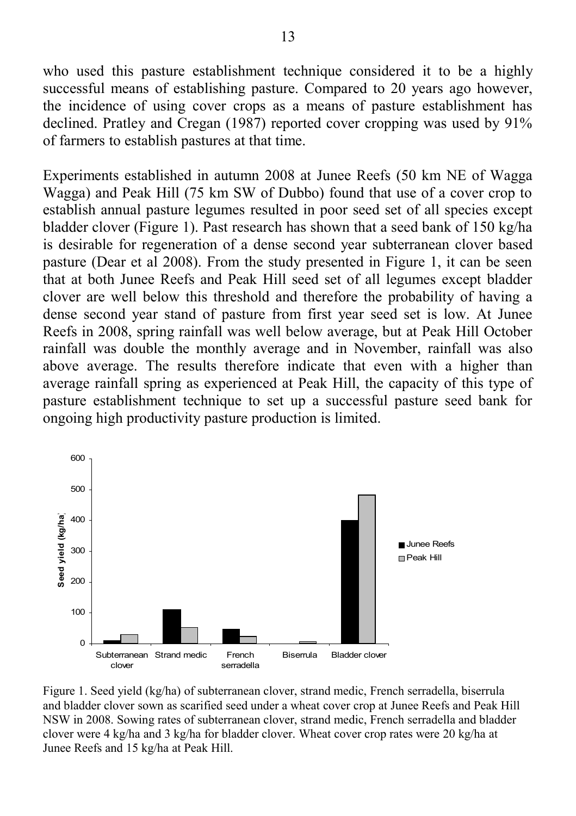who used this pasture establishment technique considered it to be a highly successful means of establishing pasture. Compared to 20 years ago however, the incidence of using cover crops as a means of pasture establishment has declined. Pratley and Cregan (1987) reported cover cropping was used by 91% of farmers to establish pastures at that time.

Experiments established in autumn 2008 at Junee Reefs (50 km NE of Wagga Wagga) and Peak Hill (75 km SW of Dubbo) found that use of a cover crop to establish annual pasture legumes resulted in poor seed set of all species except bladder clover (Figure 1). Past research has shown that a seed bank of 150 kg/ha is desirable for regeneration of a dense second year subterranean clover based pasture (Dear et al 2008). From the study presented in Figure 1, it can be seen that at both Junee Reefs and Peak Hill seed set of all legumes except bladder clover are well below this threshold and therefore the probability of having a dense second year stand of pasture from first year seed set is low. At Junee Reefs in 2008, spring rainfall was well below average, but at Peak Hill October rainfall was double the monthly average and in November, rainfall was also above average. The results therefore indicate that even with a higher than average rainfall spring as experienced at Peak Hill, the capacity of this type of pasture establishment technique to set up a successful pasture seed bank for ongoing high productivity pasture production is limited.



Figure 1. Seed yield (kg/ha) of subterranean clover, strand medic, French serradella, biserrula and bladder clover sown as scarified seed under a wheat cover crop at Junee Reefs and Peak Hill NSW in 2008. Sowing rates of subterranean clover, strand medic, French serradella and bladder clover were 4 kg/ha and 3 kg/ha for bladder clover. Wheat cover crop rates were 20 kg/ha at Junee Reefs and 15 kg/ha at Peak Hill.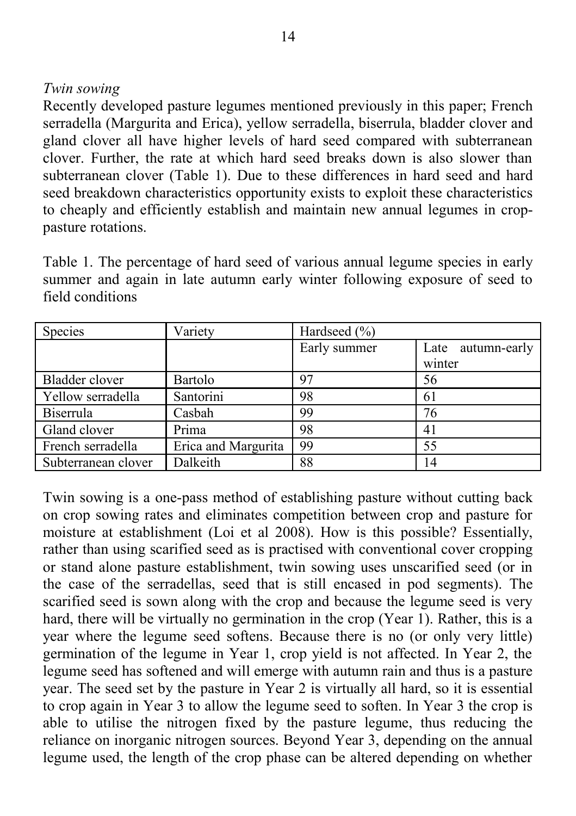#### *Twin sowing*

Recently developed pasture legumes mentioned previously in this paper; French serradella (Margurita and Erica), yellow serradella, biserrula, bladder clover and gland clover all have higher levels of hard seed compared with subterranean clover. Further, the rate at which hard seed breaks down is also slower than subterranean clover (Table 1). Due to these differences in hard seed and hard seed breakdown characteristics opportunity exists to exploit these characteristics to cheaply and efficiently establish and maintain new annual legumes in croppasture rotations.

Table 1. The percentage of hard seed of various annual legume species in early summer and again in late autumn early winter following exposure of seed to field conditions

| Species             | Variety             | Hardseed $(\% )$ |                      |
|---------------------|---------------------|------------------|----------------------|
|                     |                     | Early summer     | autumn-early<br>Late |
|                     |                     |                  | winter               |
| Bladder clover      | Bartolo             | 97               | 56                   |
| Yellow serradella   | Santorini           | 98               | 61                   |
| Biserrula           | Casbah              | 99               | 76                   |
| Gland clover        | Prima               | 98               | 41                   |
| French serradella   | Erica and Margurita | 99               | 55                   |
| Subterranean clover | Dalkeith            | 88               | 14                   |

Twin sowing is a one-pass method of establishing pasture without cutting back on crop sowing rates and eliminates competition between crop and pasture for moisture at establishment (Loi et al 2008). How is this possible? Essentially, rather than using scarified seed as is practised with conventional cover cropping or stand alone pasture establishment, twin sowing uses unscarified seed (or in the case of the serradellas, seed that is still encased in pod segments). The scarified seed is sown along with the crop and because the legume seed is very hard, there will be virtually no germination in the crop (Year 1). Rather, this is a year where the legume seed softens. Because there is no (or only very little) germination of the legume in Year 1, crop yield is not affected. In Year 2, the legume seed has softened and will emerge with autumn rain and thus is a pasture year. The seed set by the pasture in Year 2 is virtually all hard, so it is essential to crop again in Year 3 to allow the legume seed to soften. In Year 3 the crop is able to utilise the nitrogen fixed by the pasture legume, thus reducing the reliance on inorganic nitrogen sources. Beyond Year 3, depending on the annual legume used, the length of the crop phase can be altered depending on whether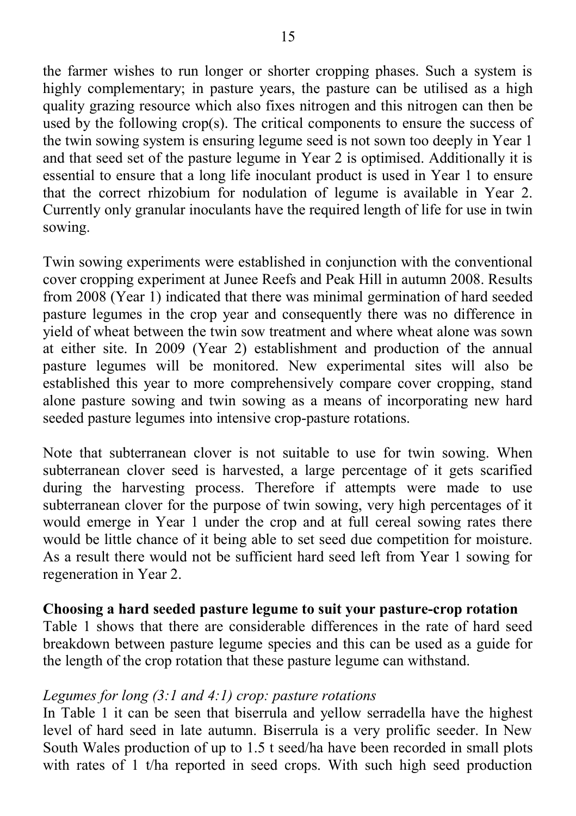the farmer wishes to run longer or shorter cropping phases. Such a system is highly complementary; in pasture years, the pasture can be utilised as a high quality grazing resource which also fixes nitrogen and this nitrogen can then be used by the following crop(s). The critical components to ensure the success of the twin sowing system is ensuring legume seed is not sown too deeply in Year 1 and that seed set of the pasture legume in Year 2 is optimised. Additionally it is essential to ensure that a long life inoculant product is used in Year 1 to ensure that the correct rhizobium for nodulation of legume is available in Year 2. Currently only granular inoculants have the required length of life for use in twin sowing.

Twin sowing experiments were established in conjunction with the conventional cover cropping experiment at Junee Reefs and Peak Hill in autumn 2008. Results from 2008 (Year 1) indicated that there was minimal germination of hard seeded pasture legumes in the crop year and consequently there was no difference in yield of wheat between the twin sow treatment and where wheat alone was sown at either site. In 2009 (Year 2) establishment and production of the annual pasture legumes will be monitored. New experimental sites will also be established this year to more comprehensively compare cover cropping, stand alone pasture sowing and twin sowing as a means of incorporating new hard seeded pasture legumes into intensive crop-pasture rotations.

Note that subterranean clover is not suitable to use for twin sowing. When subterranean clover seed is harvested, a large percentage of it gets scarified during the harvesting process. Therefore if attempts were made to use subterranean clover for the purpose of twin sowing, very high percentages of it would emerge in Year 1 under the crop and at full cereal sowing rates there would be little chance of it being able to set seed due competition for moisture. As a result there would not be sufficient hard seed left from Year 1 sowing for regeneration in Year 2.

#### **Choosing a hard seeded pasture legume to suit your pasture-crop rotation**

Table 1 shows that there are considerable differences in the rate of hard seed breakdown between pasture legume species and this can be used as a guide for the length of the crop rotation that these pasture legume can withstand.

#### *Legumes for long (3:1 and 4:1) crop: pasture rotations*

In Table 1 it can be seen that biserrula and yellow serradella have the highest level of hard seed in late autumn. Biserrula is a very prolific seeder. In New South Wales production of up to 1.5 t seed/ha have been recorded in small plots with rates of 1 t/ha reported in seed crops. With such high seed production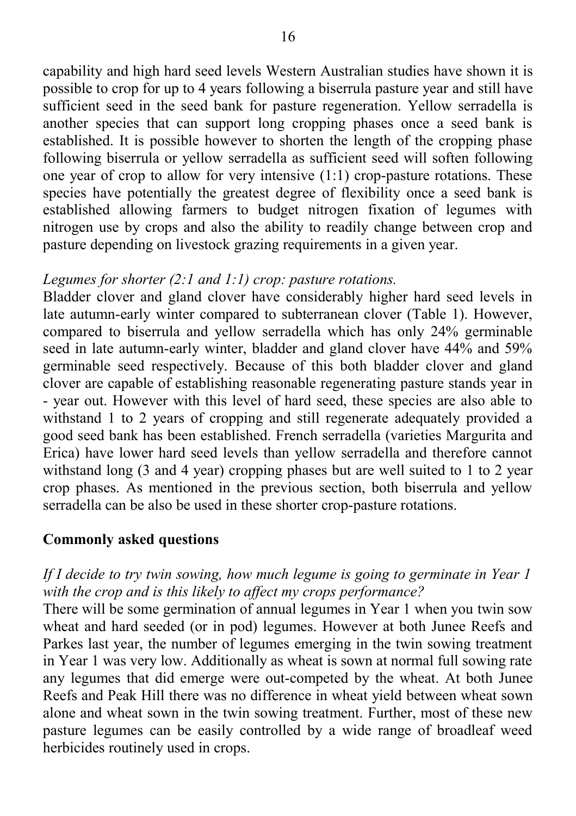capability and high hard seed levels Western Australian studies have shown it is possible to crop for up to 4 years following a biserrula pasture year and still have sufficient seed in the seed bank for pasture regeneration. Yellow serradella is another species that can support long cropping phases once a seed bank is established. It is possible however to shorten the length of the cropping phase following biserrula or yellow serradella as sufficient seed will soften following one year of crop to allow for very intensive  $(1:1)$  crop-pasture rotations. These species have potentially the greatest degree of flexibility once a seed bank is established allowing farmers to budget nitrogen fixation of legumes with nitrogen use by crops and also the ability to readily change between crop and pasture depending on livestock grazing requirements in a given year.

#### *Legumes for shorter (2:1 and 1:1) crop: pasture rotations.*

Bladder clover and gland clover have considerably higher hard seed levels in late autumn-early winter compared to subterranean clover (Table 1). However, compared to biserrula and yellow serradella which has only 24% germinable seed in late autumn-early winter, bladder and gland clover have 44% and 59% germinable seed respectively. Because of this both bladder clover and gland clover are capable of establishing reasonable regenerating pasture stands year in - year out. However with this level of hard seed, these species are also able to withstand 1 to 2 years of cropping and still regenerate adequately provided a good seed bank has been established. French serradella (varieties Margurita and Erica) have lower hard seed levels than yellow serradella and therefore cannot withstand long (3 and 4 year) cropping phases but are well suited to 1 to 2 year crop phases. As mentioned in the previous section, both biserrula and yellow serradella can be also be used in these shorter crop-pasture rotations.

#### **Commonly asked questions**

#### *If I decide to try twin sowing, how much legume is going to germinate in Year 1 with the crop and is this likely to affect my crops performance?*

There will be some germination of annual legumes in Year 1 when you twin sow wheat and hard seeded (or in pod) legumes. However at both Junee Reefs and Parkes last year, the number of legumes emerging in the twin sowing treatment in Year 1 was very low. Additionally as wheat is sown at normal full sowing rate any legumes that did emerge were out-competed by the wheat. At both Junee Reefs and Peak Hill there was no difference in wheat yield between wheat sown alone and wheat sown in the twin sowing treatment. Further, most of these new pasture legumes can be easily controlled by a wide range of broadleaf weed herbicides routinely used in crops.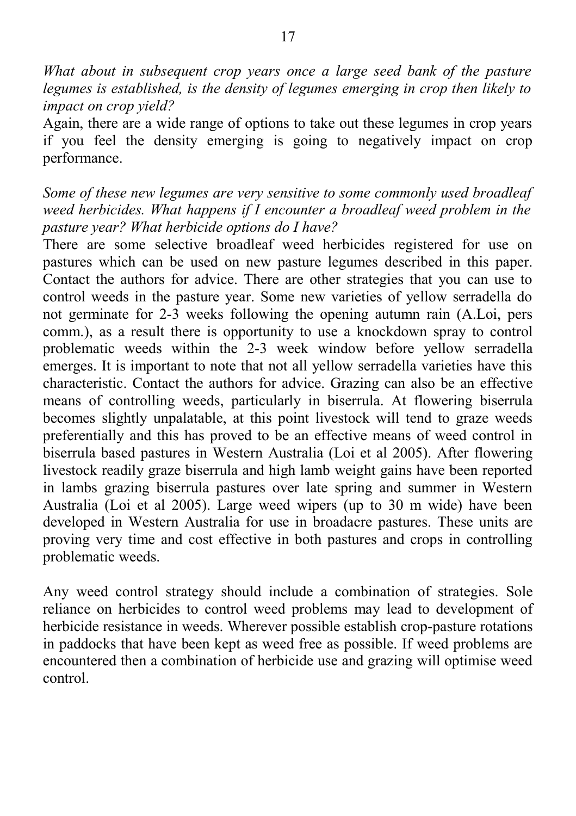*What about in subsequent crop years once a large seed bank of the pasture legumes is established, is the density of legumes emerging in crop then likely to impact on crop yield?*

Again, there are a wide range of options to take out these legumes in crop years if you feel the density emerging is going to negatively impact on crop performance.

*Some of these new legumes are very sensitive to some commonly used broadleaf weed herbicides. What happens if I encounter a broadleaf weed problem in the pasture year? What herbicide options do I have?*

There are some selective broadleaf weed herbicides registered for use on pastures which can be used on new pasture legumes described in this paper. Contact the authors for advice. There are other strategies that you can use to control weeds in the pasture year. Some new varieties of yellow serradella do not germinate for 2-3 weeks following the opening autumn rain (A.Loi, pers comm.), as a result there is opportunity to use a knockdown spray to control problematic weeds within the 2-3 week window before yellow serradella emerges. It is important to note that not all yellow serradella varieties have this characteristic. Contact the authors for advice. Grazing can also be an effective means of controlling weeds, particularly in biserrula. At flowering biserrula becomes slightly unpalatable, at this point livestock will tend to graze weeds preferentially and this has proved to be an effective means of weed control in biserrula based pastures in Western Australia (Loi et al 2005). After flowering livestock readily graze biserrula and high lamb weight gains have been reported in lambs grazing biserrula pastures over late spring and summer in Western Australia (Loi et al 2005). Large weed wipers (up to 30 m wide) have been developed in Western Australia for use in broadacre pastures. These units are proving very time and cost effective in both pastures and crops in controlling problematic weeds.

Any weed control strategy should include a combination of strategies. Sole reliance on herbicides to control weed problems may lead to development of herbicide resistance in weeds. Wherever possible establish crop-pasture rotations in paddocks that have been kept as weed free as possible. If weed problems are encountered then a combination of herbicide use and grazing will optimise weed control.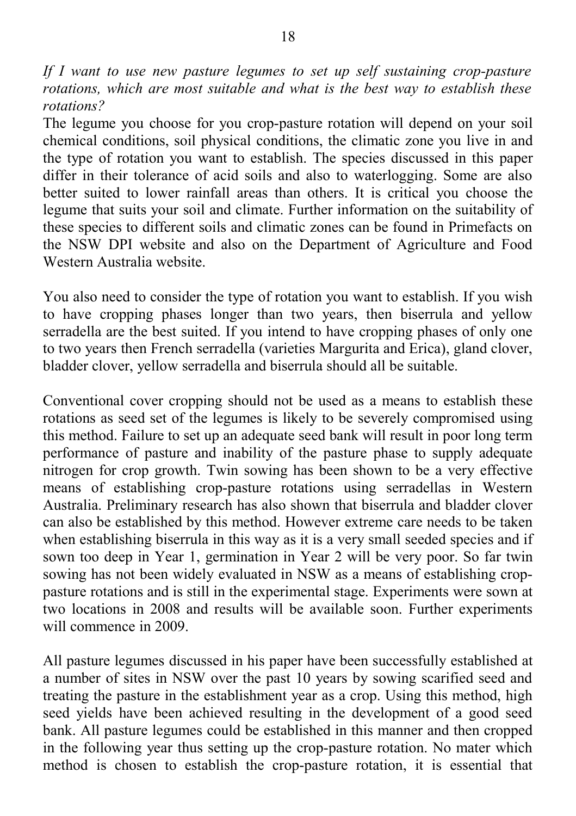*If I want to use new pasture legumes to set up self sustaining crop-pasture rotations, which are most suitable and what is the best way to establish these rotations?*

The legume you choose for you crop-pasture rotation will depend on your soil chemical conditions, soil physical conditions, the climatic zone you live in and the type of rotation you want to establish. The species discussed in this paper differ in their tolerance of acid soils and also to waterlogging. Some are also better suited to lower rainfall areas than others. It is critical you choose the legume that suits your soil and climate. Further information on the suitability of these species to different soils and climatic zones can be found in Primefacts on the NSW DPI website and also on the Department of Agriculture and Food Western Australia website.

You also need to consider the type of rotation you want to establish. If you wish to have cropping phases longer than two years, then biserrula and yellow serradella are the best suited. If you intend to have cropping phases of only one to two years then French serradella (varieties Margurita and Erica), gland clover, bladder clover, yellow serradella and biserrula should all be suitable.

Conventional cover cropping should not be used as a means to establish these rotations as seed set of the legumes is likely to be severely compromised using this method. Failure to set up an adequate seed bank will result in poor long term performance of pasture and inability of the pasture phase to supply adequate nitrogen for crop growth. Twin sowing has been shown to be a very effective means of establishing crop-pasture rotations using serradellas in Western Australia. Preliminary research has also shown that biserrula and bladder clover can also be established by this method. However extreme care needs to be taken when establishing biserrula in this way as it is a very small seeded species and if sown too deep in Year 1, germination in Year 2 will be very poor. So far twin sowing has not been widely evaluated in NSW as a means of establishing croppasture rotations and is still in the experimental stage. Experiments were sown at two locations in 2008 and results will be available soon. Further experiments will commence in 2009.

All pasture legumes discussed in his paper have been successfully established at a number of sites in NSW over the past 10 years by sowing scarified seed and treating the pasture in the establishment year as a crop. Using this method, high seed yields have been achieved resulting in the development of a good seed bank. All pasture legumes could be established in this manner and then cropped in the following year thus setting up the crop-pasture rotation. No mater which method is chosen to establish the crop-pasture rotation, it is essential that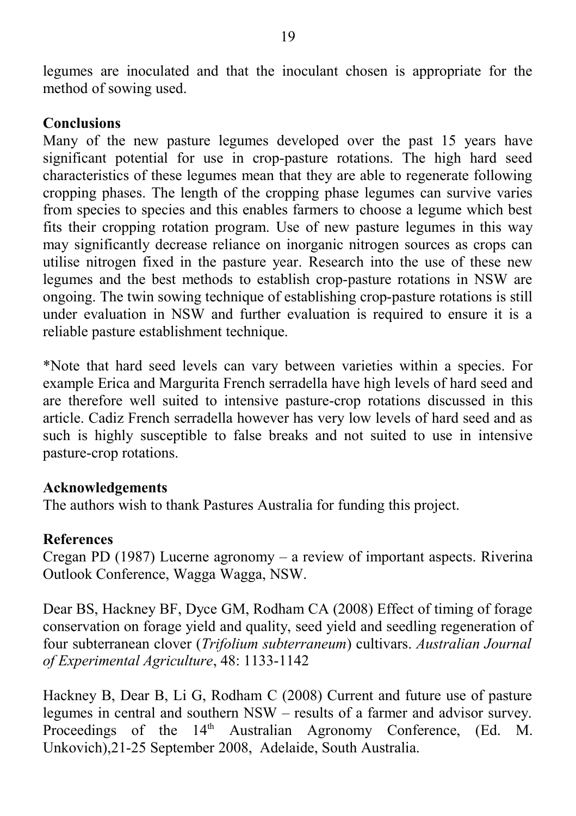legumes are inoculated and that the inoculant chosen is appropriate for the method of sowing used.

#### **Conclusions**

Many of the new pasture legumes developed over the past 15 years have significant potential for use in crop-pasture rotations. The high hard seed characteristics of these legumes mean that they are able to regenerate following cropping phases. The length of the cropping phase legumes can survive varies from species to species and this enables farmers to choose a legume which best fits their cropping rotation program. Use of new pasture legumes in this way may significantly decrease reliance on inorganic nitrogen sources as crops can utilise nitrogen fixed in the pasture year. Research into the use of these new legumes and the best methods to establish crop-pasture rotations in NSW are ongoing. The twin sowing technique of establishing crop-pasture rotations is still under evaluation in NSW and further evaluation is required to ensure it is a reliable pasture establishment technique.

\*Note that hard seed levels can vary between varieties within a species. For example Erica and Margurita French serradella have high levels of hard seed and are therefore well suited to intensive pasture-crop rotations discussed in this article. Cadiz French serradella however has very low levels of hard seed and as such is highly susceptible to false breaks and not suited to use in intensive pasture-crop rotations.

#### **Acknowledgements**

The authors wish to thank Pastures Australia for funding this project.

#### **References**

Cregan PD (1987) Lucerne agronomy – a review of important aspects. Riverina Outlook Conference, Wagga Wagga, NSW.

Dear BS, Hackney BF, Dyce GM, Rodham CA (2008) Effect of timing of forage conservation on forage yield and quality, seed yield and seedling regeneration of four subterranean clover (*Trifolium subterraneum*) cultivars. *Australian Journal of Experimental Agriculture*, 48: 1133-1142

Hackney B, Dear B, Li G, Rodham C (2008) Current and future use of pasture legumes in central and southern NSW – results of a farmer and advisor survey. Proceedings of the 14<sup>th</sup> Australian Agronomy Conference, (Ed. M. Unkovich),21-25 September 2008, Adelaide, South Australia.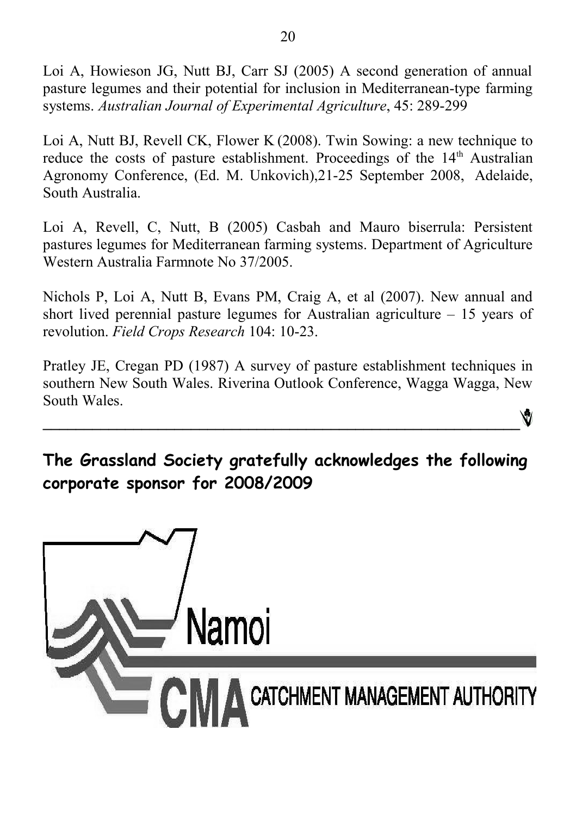Loi A, Howieson JG, Nutt BJ, Carr SJ (2005) A second generation of annual pasture legumes and their potential for inclusion in Mediterranean-type farming systems. *Australian Journal of Experimental Agriculture*, 45: 289-299

Loi A, Nutt BJ, Revell CK, Flower K (2008). Twin Sowing: a new technique to reduce the costs of pasture establishment. Proceedings of the  $14<sup>th</sup>$  Australian Agronomy Conference, (Ed. M. Unkovich),21-25 September 2008, Adelaide, South Australia.

Loi A, Revell, C, Nutt, B (2005) Casbah and Mauro biserrula: Persistent pastures legumes for Mediterranean farming systems. Department of Agriculture Western Australia Farmnote No 37/2005.

Nichols P, Loi A, Nutt B, Evans PM, Craig A, et al (2007). New annual and short lived perennial pasture legumes for Australian agriculture – 15 years of revolution. *Field Crops Research* 104: 10-23.

Pratley JE, Cregan PD (1987) A survey of pasture establishment techniques in southern New South Wales. Riverina Outlook Conference, Wagga Wagga, New South Wales. Ŵ

**The Grassland Society gratefully acknowledges the following corporate sponsor for 2008/2009**

**\_\_\_\_\_\_\_\_\_\_\_\_\_\_\_\_\_\_\_\_\_\_\_\_\_\_\_\_\_\_\_\_\_\_\_\_\_\_\_\_\_\_\_\_\_\_\_\_\_\_\_\_\_\_\_\_\_\_**

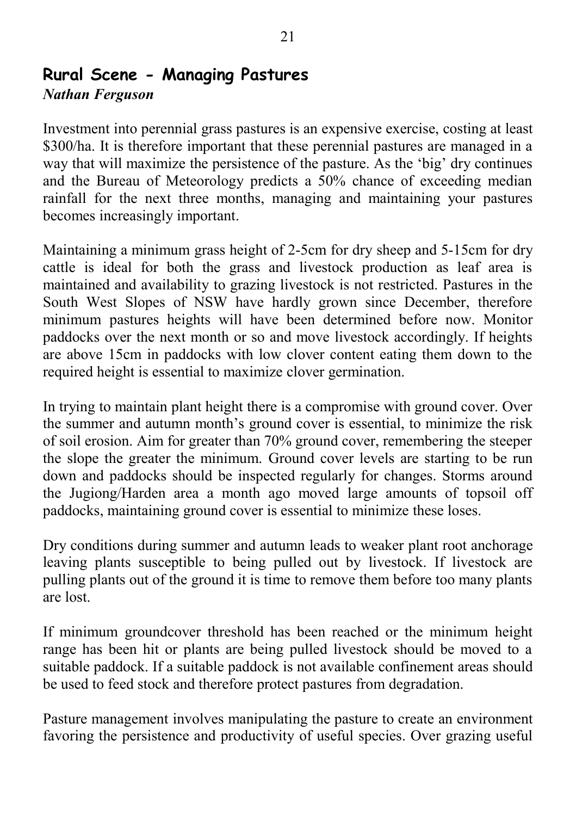# **Rural Scene - Managing Pastures**

#### *Nathan Ferguson*

Investment into perennial grass pastures is an expensive exercise, costing at least \$300/ha. It is therefore important that these perennial pastures are managed in a way that will maximize the persistence of the pasture. As the 'big' dry continues and the Bureau of Meteorology predicts a 50% chance of exceeding median rainfall for the next three months, managing and maintaining your pastures becomes increasingly important.

Maintaining a minimum grass height of 2-5cm for dry sheep and 5-15cm for dry cattle is ideal for both the grass and livestock production as leaf area is maintained and availability to grazing livestock is not restricted. Pastures in the South West Slopes of NSW have hardly grown since December, therefore minimum pastures heights will have been determined before now. Monitor paddocks over the next month or so and move livestock accordingly. If heights are above 15cm in paddocks with low clover content eating them down to the required height is essential to maximize clover germination.

In trying to maintain plant height there is a compromise with ground cover. Over the summer and autumn month's ground cover is essential, to minimize the risk of soil erosion. Aim for greater than 70% ground cover, remembering the steeper the slope the greater the minimum. Ground cover levels are starting to be run down and paddocks should be inspected regularly for changes. Storms around the Jugiong/Harden area a month ago moved large amounts of topsoil off paddocks, maintaining ground cover is essential to minimize these loses.

Dry conditions during summer and autumn leads to weaker plant root anchorage leaving plants susceptible to being pulled out by livestock. If livestock are pulling plants out of the ground it is time to remove them before too many plants are lost.

If minimum groundcover threshold has been reached or the minimum height range has been hit or plants are being pulled livestock should be moved to a suitable paddock. If a suitable paddock is not available confinement areas should be used to feed stock and therefore protect pastures from degradation.

Pasture management involves manipulating the pasture to create an environment favoring the persistence and productivity of useful species. Over grazing useful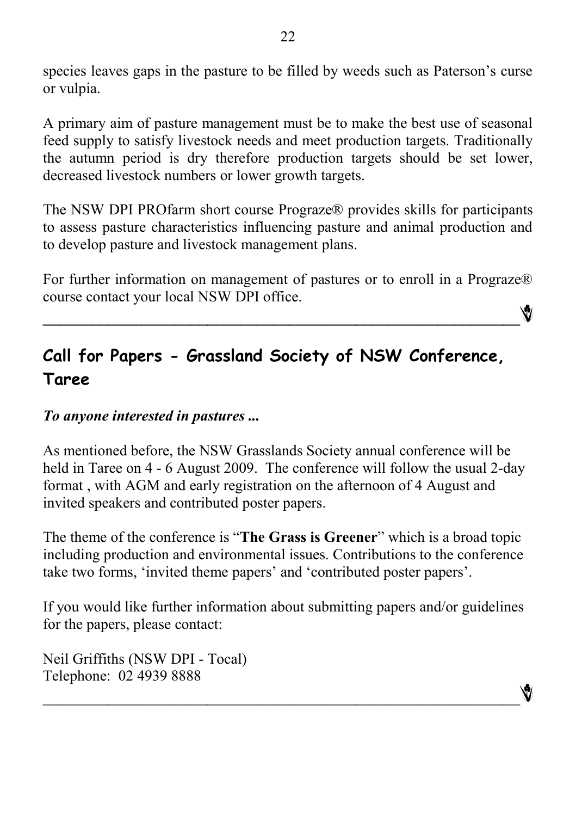species leaves gaps in the pasture to be filled by weeds such as Paterson's curse or vulpia.

A primary aim of pasture management must be to make the best use of seasonal feed supply to satisfy livestock needs and meet production targets. Traditionally the autumn period is dry therefore production targets should be set lower, decreased livestock numbers or lower growth targets.

The NSW DPI PROfarm short course Prograze® provides skills for participants to assess pasture characteristics influencing pasture and animal production and to develop pasture and livestock management plans.

For further information on management of pastures or to enroll in a Prograze® course contact your local NSW DPI office.

**\_\_\_\_\_\_\_\_\_\_\_\_\_\_\_\_\_\_\_\_\_\_\_\_\_\_\_\_\_\_\_\_\_\_\_\_\_\_\_\_\_\_\_\_\_\_\_\_\_\_\_\_\_\_\_\_\_\_**

# **Call for Papers - Grassland Society of NSW Conference, Taree**

#### *To anyone interested in pastures ...*

As mentioned before, the NSW Grasslands Society annual conference will be held in Taree on 4 - 6 August 2009. The conference will follow the usual 2-day format , with AGM and early registration on the afternoon of 4 August and invited speakers and contributed poster papers.

The theme of the conference is "**The Grass is Greener**" which is a broad topic including production and environmental issues. Contributions to the conference take two forms, 'invited theme papers' and 'contributed poster papers'.

If you would like further information about submitting papers and/or guidelines for the papers, please contact:

 $\mathcal{L}_\text{max}$  and the contract of the contract of the contract of the contract of the contract of the contract of

Neil Griffiths (NSW DPI - Tocal) Telephone: 02 4939 8888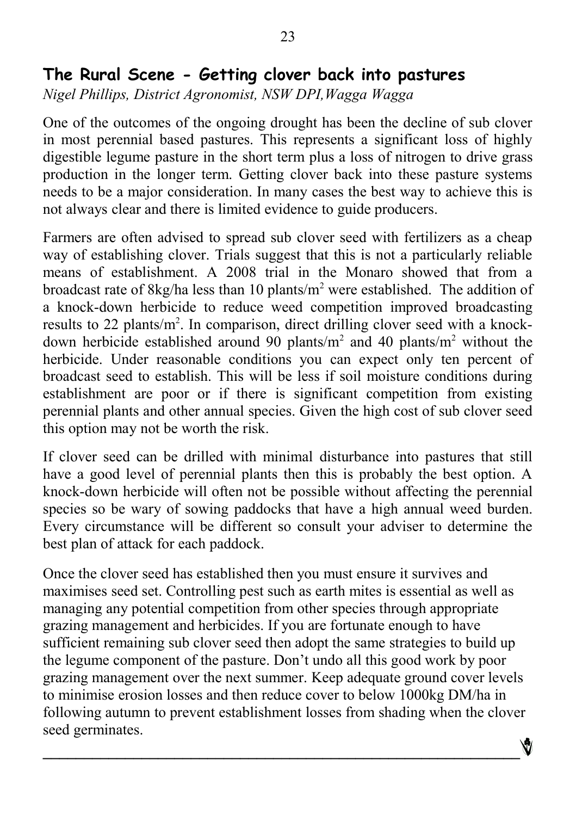## **The Rural Scene - Getting clover back into pastures**

*Nigel Phillips, District Agronomist, NSW DPI,Wagga Wagga*

One of the outcomes of the ongoing drought has been the decline of sub clover in most perennial based pastures. This represents a significant loss of highly digestible legume pasture in the short term plus a loss of nitrogen to drive grass production in the longer term. Getting clover back into these pasture systems needs to be a major consideration. In many cases the best way to achieve this is not always clear and there is limited evidence to guide producers.

Farmers are often advised to spread sub clover seed with fertilizers as a cheap way of establishing clover. Trials suggest that this is not a particularly reliable means of establishment. A 2008 trial in the Monaro showed that from a broadcast rate of 8kg/ha less than 10 plants/m<sup>2</sup> were established. The addition of a knock-down herbicide to reduce weed competition improved broadcasting results to 22 plants/m<sup>2</sup>. In comparison, direct drilling clover seed with a knockdown herbicide established around 90 plants/ $m<sup>2</sup>$  and 40 plants/ $m<sup>2</sup>$  without the herbicide. Under reasonable conditions you can expect only ten percent of broadcast seed to establish. This will be less if soil moisture conditions during establishment are poor or if there is significant competition from existing perennial plants and other annual species. Given the high cost of sub clover seed this option may not be worth the risk.

If clover seed can be drilled with minimal disturbance into pastures that still have a good level of perennial plants then this is probably the best option. A knock-down herbicide will often not be possible without affecting the perennial species so be wary of sowing paddocks that have a high annual weed burden. Every circumstance will be different so consult your adviser to determine the best plan of attack for each paddock.

Once the clover seed has established then you must ensure it survives and maximises seed set. Controlling pest such as earth mites is essential as well as managing any potential competition from other species through appropriate grazing management and herbicides. If you are fortunate enough to have sufficient remaining sub clover seed then adopt the same strategies to build up the legume component of the pasture. Don't undo all this good work by poor grazing management over the next summer. Keep adequate ground cover levels to minimise erosion losses and then reduce cover to below 1000kg DM/ha in following autumn to prevent establishment losses from shading when the clover seed germinates.

 $\mathcal{L} = \{ \mathcal{L} \mathcal{L} \mathcal{L} \mathcal{L} \mathcal{L} \mathcal{L} \mathcal{L} \mathcal{L} \mathcal{L} \mathcal{L} \mathcal{L} \mathcal{L} \mathcal{L} \mathcal{L} \mathcal{L} \mathcal{L} \mathcal{L} \mathcal{L} \mathcal{L} \mathcal{L} \mathcal{L} \mathcal{L} \mathcal{L} \mathcal{L} \mathcal{L} \mathcal{L} \mathcal{L} \mathcal{L} \mathcal{L} \mathcal{L} \mathcal{L} \mathcal{L} \mathcal{L} \mathcal{L} \mathcal{L} \$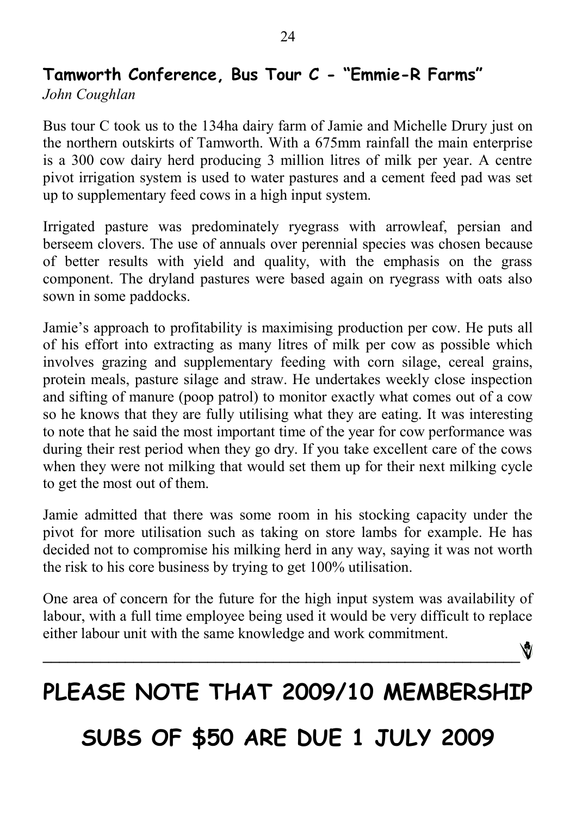# **Tamworth Conference, Bus Tour C - "Emmie-R Farms"**

*John Coughlan*

Bus tour C took us to the 134ha dairy farm of Jamie and Michelle Drury just on the northern outskirts of Tamworth. With a 675mm rainfall the main enterprise is a 300 cow dairy herd producing 3 million litres of milk per year. A centre pivot irrigation system is used to water pastures and a cement feed pad was set up to supplementary feed cows in a high input system.

Irrigated pasture was predominately ryegrass with arrowleaf, persian and berseem clovers. The use of annuals over perennial species was chosen because of better results with yield and quality, with the emphasis on the grass component. The dryland pastures were based again on ryegrass with oats also sown in some paddocks.

Jamie's approach to profitability is maximising production per cow. He puts all of his effort into extracting as many litres of milk per cow as possible which involves grazing and supplementary feeding with corn silage, cereal grains, protein meals, pasture silage and straw. He undertakes weekly close inspection and sifting of manure (poop patrol) to monitor exactly what comes out of a cow so he knows that they are fully utilising what they are eating. It was interesting to note that he said the most important time of the year for cow performance was during their rest period when they go dry. If you take excellent care of the cows when they were not milking that would set them up for their next milking cycle to get the most out of them.

Jamie admitted that there was some room in his stocking capacity under the pivot for more utilisation such as taking on store lambs for example. He has decided not to compromise his milking herd in any way, saying it was not worth the risk to his core business by trying to get 100% utilisation.

One area of concern for the future for the high input system was availability of labour, with a full time employee being used it would be very difficult to replace either labour unit with the same knowledge and work commitment.

# **PLEASE NOTE THAT 2009/10 MEMBERSHIP**

**\_\_\_\_\_\_\_\_\_\_\_\_\_\_\_\_\_\_\_\_\_\_\_\_\_\_\_\_\_\_\_\_\_\_\_\_\_\_\_\_\_\_\_\_\_\_\_\_\_\_\_\_\_\_\_\_\_\_**

# **SUBS OF \$50 ARE DUE 1 JULY 2009**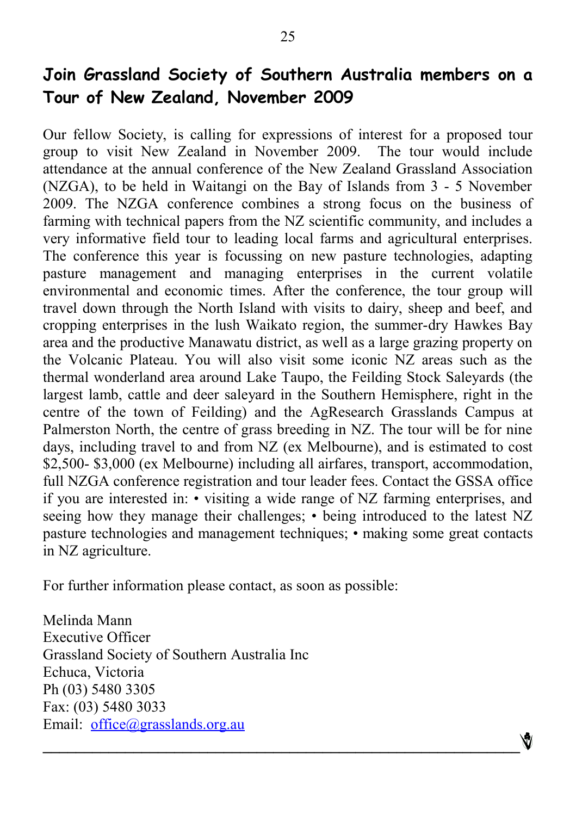# **Join Grassland Society of Southern Australia members on a Tour of New Zealand, November 2009**

Our fellow Society, is calling for expressions of interest for a proposed tour group to visit New Zealand in November 2009. The tour would include attendance at the annual conference of the New Zealand Grassland Association (NZGA), to be held in Waitangi on the Bay of Islands from 3 - 5 November 2009. The NZGA conference combines a strong focus on the business of farming with technical papers from the NZ scientific community, and includes a very informative field tour to leading local farms and agricultural enterprises. The conference this year is focussing on new pasture technologies, adapting pasture management and managing enterprises in the current volatile environmental and economic times. After the conference, the tour group will travel down through the North Island with visits to dairy, sheep and beef, and cropping enterprises in the lush Waikato region, the summer-dry Hawkes Bay area and the productive Manawatu district, as well as a large grazing property on the Volcanic Plateau. You will also visit some iconic NZ areas such as the thermal wonderland area around Lake Taupo, the Feilding Stock Saleyards (the largest lamb, cattle and deer saleyard in the Southern Hemisphere, right in the centre of the town of Feilding) and the AgResearch Grasslands Campus at Palmerston North, the centre of grass breeding in NZ. The tour will be for nine days, including travel to and from NZ (ex Melbourne), and is estimated to cost \$2,500- \$3,000 (ex Melbourne) including all airfares, transport, accommodation, full NZGA conference registration and tour leader fees. Contact the GSSA office if you are interested in: • visiting a wide range of NZ farming enterprises, and seeing how they manage their challenges; • being introduced to the latest NZ pasture technologies and management techniques; • making some great contacts in NZ agriculture.

**\_\_\_\_\_\_\_\_\_\_\_\_\_\_\_\_\_\_\_\_\_\_\_\_\_\_\_\_\_\_\_\_\_\_\_\_\_\_\_\_\_\_\_\_\_\_\_\_\_\_\_\_\_\_\_\_\_\_**

For further information please contact, as soon as possible:

Melinda Mann Executive Officer Grassland Society of Southern Australia Inc Echuca, Victoria Ph (03) 5480 3305 Fax: (03) 5480 3033 Email: [office@grasslands.org.au](mailto:office@grasslands.org.au)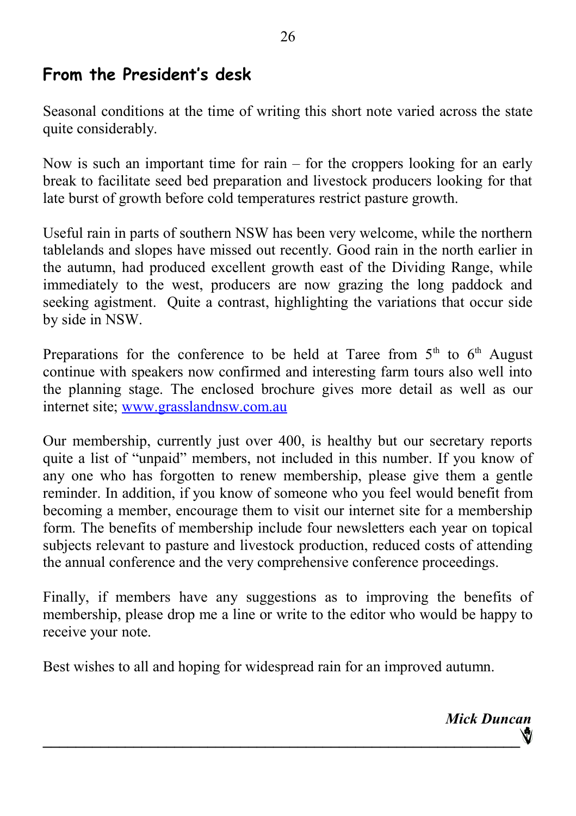## **From the President's desk**

Seasonal conditions at the time of writing this short note varied across the state quite considerably.

Now is such an important time for rain – for the croppers looking for an early break to facilitate seed bed preparation and livestock producers looking for that late burst of growth before cold temperatures restrict pasture growth.

Useful rain in parts of southern NSW has been very welcome, while the northern tablelands and slopes have missed out recently. Good rain in the north earlier in the autumn, had produced excellent growth east of the Dividing Range, while immediately to the west, producers are now grazing the long paddock and seeking agistment. Quite a contrast, highlighting the variations that occur side by side in NSW.

Preparations for the conference to be held at Taree from  $5<sup>th</sup>$  to  $6<sup>th</sup>$  August continue with speakers now confirmed and interesting farm tours also well into the planning stage. The enclosed brochure gives more detail as well as our internet site; [www.grasslandnsw.com.au](file:///C:/Users/Aussie Sapphires/Documents/GrasslandNSW/www.grasslandnsw.com.au)

Our membership, currently just over 400, is healthy but our secretary reports quite a list of "unpaid" members, not included in this number. If you know of any one who has forgotten to renew membership, please give them a gentle reminder. In addition, if you know of someone who you feel would benefit from becoming a member, encourage them to visit our internet site for a membership form. The benefits of membership include four newsletters each year on topical subjects relevant to pasture and livestock production, reduced costs of attending the annual conference and the very comprehensive conference proceedings.

Finally, if members have any suggestions as to improving the benefits of membership, please drop me a line or write to the editor who would be happy to receive your note.

Best wishes to all and hoping for widespread rain for an improved autumn.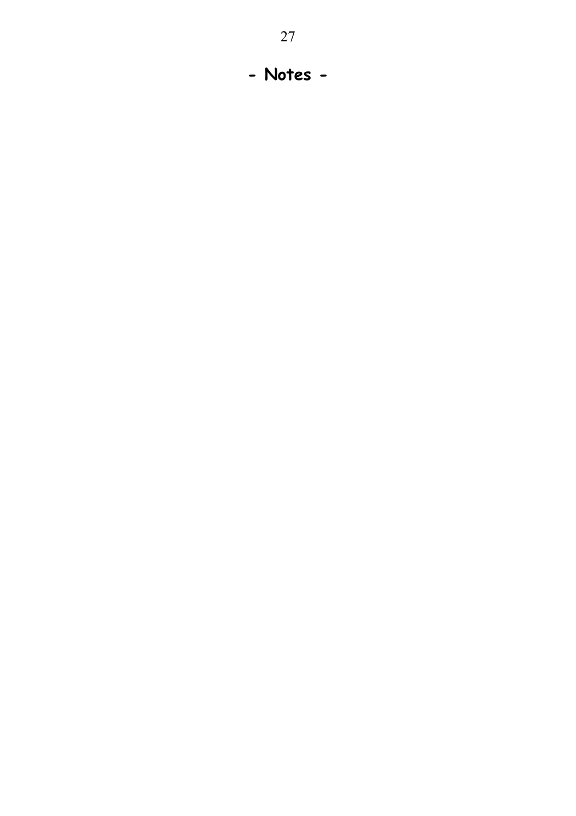**- Notes -**